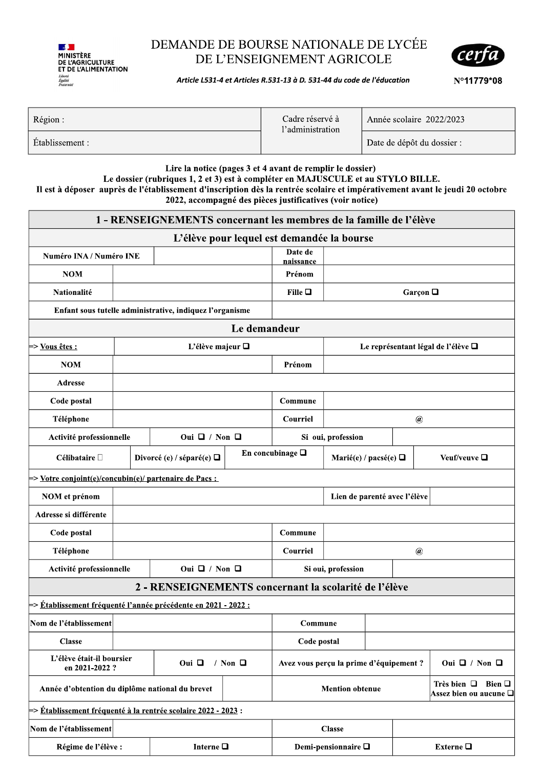

# DEMANDE DE BOURSE NATIONALE DE LYCEE DE L'ENSEIGNEMENT AGRICOLE



| <b>Contract Contract Street</b><br><b>MINISTÈRE</b><br><b>DE L'AGRICULTURE</b><br>ET DE L'ALIMENTATION<br>Liberté<br>Égalité<br>Fraternith | DEMANDE DE BOURSE NATIONALE DE LYCÉE<br>certa)<br>DE L'ENSEIGNEMENT AGRICOLE<br>Article L531-4 et Articles R.531-13 à D. 531-44 du code de l'éducation<br>N°11779*08 |                                                                 |                            |  |  |  |  |
|--------------------------------------------------------------------------------------------------------------------------------------------|----------------------------------------------------------------------------------------------------------------------------------------------------------------------|-----------------------------------------------------------------|----------------------------|--|--|--|--|
| Région:                                                                                                                                    |                                                                                                                                                                      | Cadre réservé à<br>Année scolaire 2022/2023<br>l'administration |                            |  |  |  |  |
| Etablissement:                                                                                                                             |                                                                                                                                                                      |                                                                 | Date de dépôt du dossier : |  |  |  |  |
|                                                                                                                                            |                                                                                                                                                                      |                                                                 |                            |  |  |  |  |

### Lire la notice (pages  $3$  et  $4$  avant de remplir le dossier)

Le dossier (rubriques 1, 2 et 3) est à compléter en MAJUSCULE et au STYLO BILLE. Il est à déposer auprès de l'établissement d'inscription dès la rentrée scolaire et impérativement avant le jeudi 20 octobre 2022, accompagné des pièces justificatives (voir notice)

|                                                                           |                            | 1 - RENSEIGNEMENTS concernant les membres de la famille de l'élève                    |                                         |                          |                                    |                         |                              |                     |  |  |
|---------------------------------------------------------------------------|----------------------------|---------------------------------------------------------------------------------------|-----------------------------------------|--------------------------|------------------------------------|-------------------------|------------------------------|---------------------|--|--|
|                                                                           |                            | L'élève pour lequel est demandée la bourse                                            |                                         |                          |                                    |                         |                              |                     |  |  |
| <b>Numéro INA / Numéro INE</b>                                            |                            |                                                                                       |                                         | Date de<br>naissance     |                                    |                         |                              |                     |  |  |
| <b>NOM</b>                                                                |                            |                                                                                       |                                         | Prénom                   |                                    |                         |                              |                     |  |  |
| Nationalité                                                               |                            |                                                                                       |                                         | Fille $\Box$             | Garçon $\Box$                      |                         |                              |                     |  |  |
|                                                                           |                            | Enfant sous tutelle administrative, indiquez l'organisme                              |                                         |                          |                                    |                         |                              |                     |  |  |
|                                                                           |                            |                                                                                       | Le demandeur                            |                          |                                    |                         |                              |                     |  |  |
| ⊨> <u>Vous êtes :</u>                                                     |                            | L'élève majeur $\Box$                                                                 |                                         |                          | Le représentant légal de l'élève □ |                         |                              |                     |  |  |
| <b>NOM</b>                                                                |                            |                                                                                       |                                         | Prénom                   |                                    |                         |                              |                     |  |  |
| <b>Adresse</b>                                                            |                            |                                                                                       |                                         |                          |                                    |                         |                              |                     |  |  |
| Code postal                                                               |                            |                                                                                       |                                         | Commune                  |                                    |                         |                              |                     |  |  |
| Téléphone                                                                 |                            |                                                                                       |                                         | Courriel                 |                                    |                         | $\circledR$                  |                     |  |  |
| Activité professionnelle                                                  |                            | Oui $\Box$ / Non $\Box$                                                               |                                         |                          | Si oui, profession                 |                         |                              |                     |  |  |
| Célibataire $\Box$                                                        |                            | Divorcé (e) / séparé(e) $\Box$                                                        |                                         | En concubinage $\square$ | Marié(e) / pacsé(e) $\Box$         |                         |                              | Veuf/veuve <b>□</b> |  |  |
| => <u>Votre conjoint(e)/concubin(e)/ partenaire de Pacs :</u>             |                            |                                                                                       |                                         |                          |                                    |                         |                              |                     |  |  |
| NOM et prénom                                                             |                            |                                                                                       |                                         |                          |                                    |                         | Lien de parenté avec l'élève |                     |  |  |
| Adresse si différente                                                     |                            |                                                                                       |                                         |                          |                                    |                         |                              |                     |  |  |
| Code postal                                                               |                            |                                                                                       |                                         | Commune                  |                                    |                         |                              |                     |  |  |
| Téléphone                                                                 |                            |                                                                                       |                                         | <b>Courriel</b>          | $^a\!\!\!\!a$                      |                         |                              |                     |  |  |
| Activité professionnelle                                                  |                            | Oui $\Box$ / Non $\Box$                                                               |                                         |                          | Si oui, profession                 |                         |                              |                     |  |  |
|                                                                           |                            | 2 - RENSEIGNEMENTS concernant la scolarité de l'élève                                 |                                         |                          |                                    |                         |                              |                     |  |  |
| $\Rightarrow$ Établissement fréquenté l'année précédente en 2021 - 2022 : |                            |                                                                                       |                                         |                          |                                    |                         |                              |                     |  |  |
| Nom de l'établissement                                                    |                            |                                                                                       |                                         | Commune                  |                                    |                         |                              |                     |  |  |
| <b>Classe</b>                                                             |                            |                                                                                       |                                         | Code postal              |                                    |                         |                              |                     |  |  |
| L'élève était-il boursier<br>en 2021-2022 ?                               | / Non $\Box$<br>Oui $\Box$ |                                                                                       | Avez vous perçu la prime d'équipement ? |                          |                                    | Oui $\Box$ / Non $\Box$ |                              |                     |  |  |
| Année d'obtention du diplôme national du brevet                           |                            | Très bien $\Box$ Bien $\Box$<br><b>Mention obtenue</b><br>Assez bien ou aucune $\Box$ |                                         |                          |                                    |                         |                              |                     |  |  |
| $\models$ > Établissement fréquenté à la rentrée scolaire 2022 - 2023 :   |                            |                                                                                       |                                         |                          |                                    |                         |                              |                     |  |  |
| Nom de l'établissement                                                    |                            |                                                                                       |                                         |                          | <b>Classe</b>                      |                         |                              |                     |  |  |
| Interne $\square$<br>Régime de l'élève :                                  |                            | Demi-pensionnaire $\square$<br>Externe $\Box$                                         |                                         |                          |                                    |                         |                              |                     |  |  |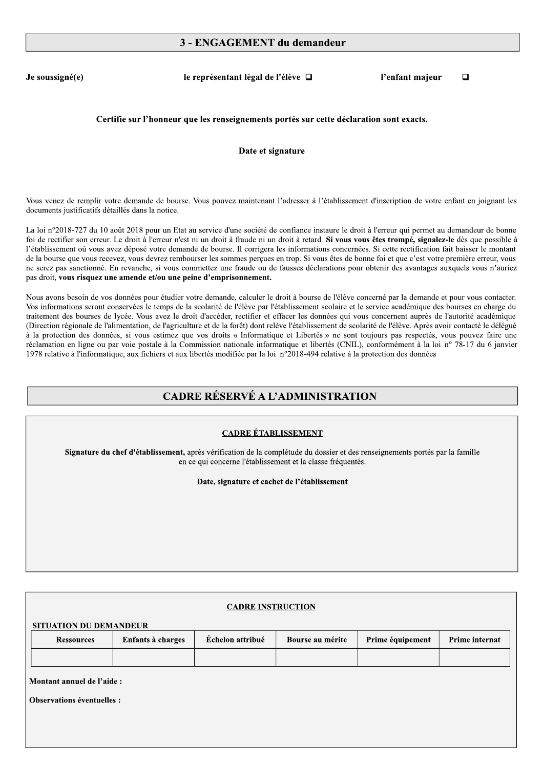#### 3 - ENGAGEMENT du demandeur

Je soussigné(e)

le représentant légal de l'élève □

l'enfant maieur  $\Box$ 

#### Certifie sur l'honneur que les renseignements portés sur cette déclaration sont exacts.

#### Date et signature

Vous venez de remplir votre demande de bourse. Vous pouvez maintenant l'adresser à l'établissement d'inscription de votre enfant en joignant les documents justificatifs détaillés dans la notice.

La loi n°2018-727 du 10 août 2018 pour un Etat au service d'une société de confiance instaure le droit à l'erreur qui permet au demandeur de bonne foi de rectifier son erreur. Le droit à l'erreur n'est ni un droit à fraude ni un droit à retard. Si vous vous êtes trompé, signalez-le dès que possible à l'établissement où vous avez déposé votre demande de bourse. Il corrigera les informations concernées. Si cette rectification fait baisser le montant de la bourse que vous recevez, vous devrez rembourser les sommes perçues en trop. Si vous êtes de bonne foi et que c'est votre première erreur, vous ne serez pas sanctionné. En revanche, si vous commettez une fraude ou de fausses déclarations pour obtenir des avantages auxquels vous n'auriez pas droit, vous risquez une amende et/ou une peine d'emprisonnement.

Nous avons besoin de vos données pour étudier votre demande, calculer le droit à bourse de l'élève concerné par la demande et pour vous contacter. Vos informations seront conservées le temps de la scolarité de l'élève par l'établissement scolaire et le service académique des bourses en charge du traitement des bourses de lycée. Vous avez le droit d'accéder, rectifier et effacer les données qui vous concernent auprès de l'autorité académique (Direction régionale de l'alimentation, de l'agriculture et de la forêt) dont relève l'établissement de scolarité de l'élève. Après avoir contacté le délégué à la protection des données, si vous estimez que vos droits « Informatique et Libertés » ne sont toujours pas respectés, vous pouvez faire une réclamation en ligne ou par voie postale à la Commission nationale informatique et libertés (CNIL), conformément à la loi n° 78-17 du 6 janvier 1978 relative à l'informatique, aux fichiers et aux libertés modifiée par la loi n°2018-494 relative à la protection des données

## **CADRE RÉSERVÉ A L'ADMINISTRATION**

#### **CADRE ÉTABLISSEMENT**

Signature du chef d'établissement, après vérification de la complétude du dossier et des renseignements portés par la famille en ce qui concerne l'établissement et la classe fréquentés.

Date, signature et cachet de l'établissement

| <b>CADRE INSTRUCTION</b>          |                  |                  |                  |                |  |  |  |  |  |
|-----------------------------------|------------------|------------------|------------------|----------------|--|--|--|--|--|
| <b>SITUATION DU DEMANDEUR</b>     |                  |                  |                  |                |  |  |  |  |  |
| Enfants à charges                 | Échelon attribué | Bourse au mérite | Prime équipement | Prime internat |  |  |  |  |  |
|                                   |                  |                  |                  |                |  |  |  |  |  |
| Montant annuel de l'aide :        |                  |                  |                  |                |  |  |  |  |  |
| <b>Observations éventuelles :</b> |                  |                  |                  |                |  |  |  |  |  |
|                                   |                  |                  |                  |                |  |  |  |  |  |
|                                   |                  |                  |                  |                |  |  |  |  |  |
|                                   |                  |                  |                  |                |  |  |  |  |  |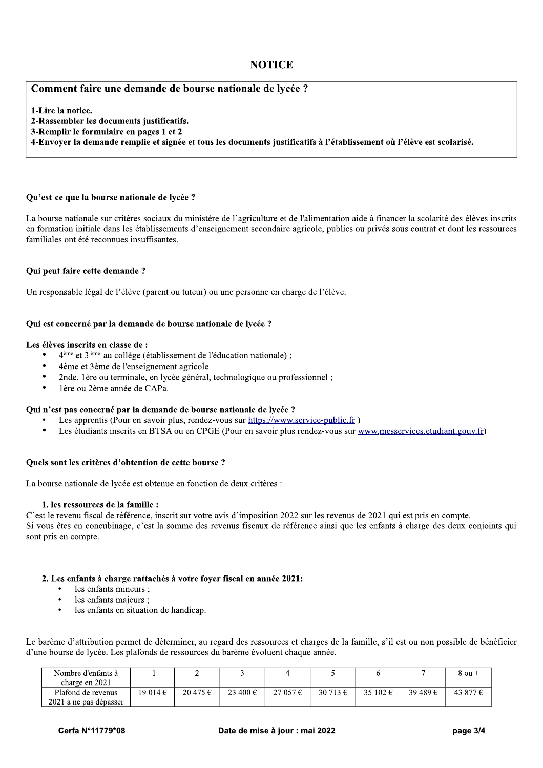#### **NOTICE**

#### Comment faire une demande de bourse nationale de lycée ?

1-Lire la notice.

2-Rassembler les documents justificatifs.

3-Remplir le formulaire en pages 1 et 2

4-Envoyer la demande remplie et signée et tous les documents justificatifs à l'établissement où l'élève est scolarisé.

#### Ou'est-ce que la bourse nationale de lycée ?

La bourse nationale sur critères sociaux du ministère de l'agriculture et de l'alimentation aide à financer la scolarité des élèves inscrits en formation initiale dans les établissements d'enseignement secondaire agricole, publics ou privés sous contrat et dont les ressources familiales ont été reconnues insuffisantes.

#### Qui peut faire cette demande?

Un responsable légal de l'élève (parent ou tuteur) ou une personne en charge de l'élève.

#### Qui est concerné par la demande de bourse nationale de lycée ?

#### Les élèves inscrits en classe de :

- $4<sup>ème</sup>$  et  $3<sup>ème</sup>$  au collège (établissement de l'éducation nationale);
- 4ème et 3ème de l'enseignement agricole
- $\bullet$ 2nde, 1ère ou terminale, en lycée général, technologique ou professionnel;
- 1ère ou 2ème année de CAPa.

#### Oui n'est pas concerné par la demande de bourse nationale de lycée ?

- Les apprentis (Pour en savoir plus, rendez-vous sur https://www.service-public.fr)
- Les étudiants inscrits en BTSA ou en CPGE (Pour en savoir plus rendez-vous sur www.messervices.etudiant.gouv.fr)

#### Quels sont les critères d'obtention de cette bourse ?

La bourse nationale de lycée est obtenue en fonction de deux critères :

#### 1. les ressources de la famille :

C'est le revenu fiscal de référence, inscrit sur votre avis d'imposition 2022 sur les revenus de 2021 qui est pris en compte. Si vous êtes en concubinage, c'est la somme des revenus fiscaux de référence ainsi que les enfants à charge des deux conjoints qui sont pris en compte.

#### 2. Les enfants à charge rattachés à votre foyer fiscal en année 2021:

- les enfants mineurs :
- les enfants majeurs ;
- les enfants en situation de handicap.  $\bullet$

Le barème d'attribution permet de déterminer, au regard des ressources et charges de la famille, s'il est ou non possible de bénéficier d'une bourse de lycée. Les plafonds de ressources du barème évoluent chaque année.

| Nombre d'enfants à     |          |          |          |        |                   |          |          | $8$ ou +          |
|------------------------|----------|----------|----------|--------|-------------------|----------|----------|-------------------|
| charge en 2021         |          |          |          |        |                   |          |          |                   |
| Plafond de revenus     | 19 014 € | 20 475 € | 23 400 € | 27057€ | 30 713 $\epsilon$ | 35 102 € | 39 489 € | 43.877 $\epsilon$ |
| 2021 à ne pas dépasser |          |          |          |        |                   |          |          |                   |